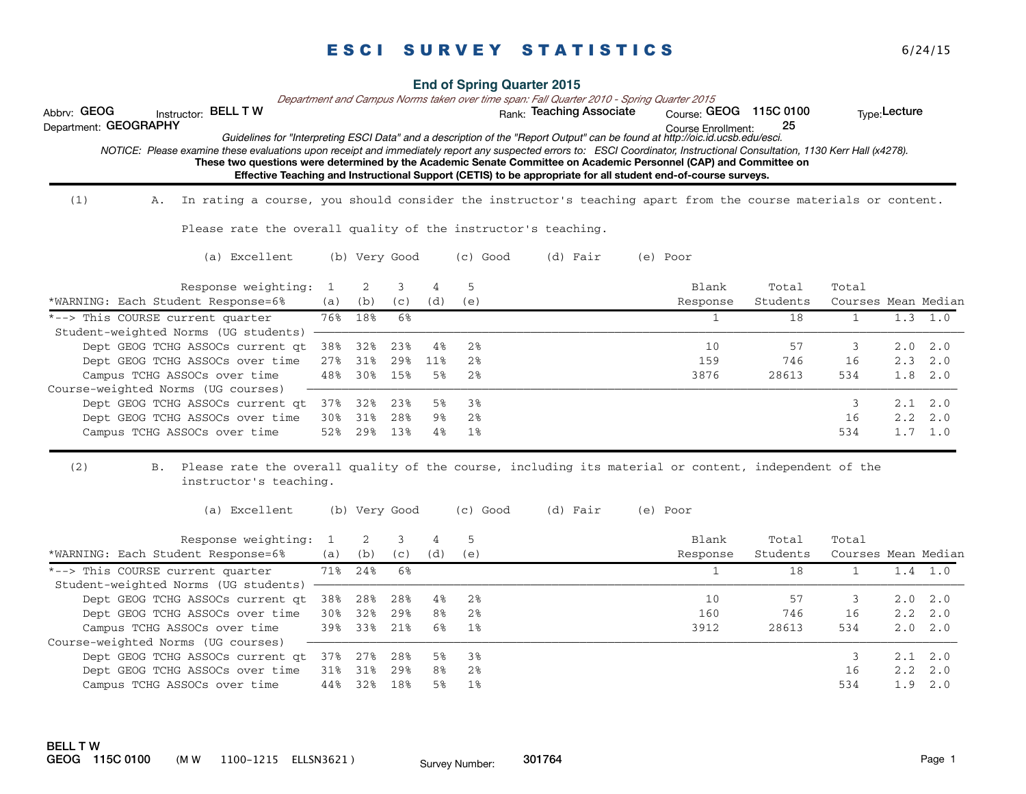| <b>End of Spring Quarter 2015</b> |  |
|-----------------------------------|--|
|-----------------------------------|--|

*Department and Campus Norms taken over time span: Fall Quarter 2010 - Spring Quarter 2015*

Abbrv: GEOG histructor: BELL T W with the state of the Rank: Teaching Associate course: GEOG 115C 0100 the Type:Lecture

Course Enrollment: Department: GEOGRAPHY 25 *Guidelines for "Interpreting ESCI Data" and a description of the "Report Output" can be found at http://oic.id.ucsb.edu/esci.*

**These two questions were determined by the Academic Senate Committee on Academic Personnel (CAP) and Committee on Effective Teaching and Instructional Support (CETIS) to be appropriate for all student end-of-course surveys.**  *NOTICE: Please examine these evaluations upon receipt and immediately report any suspected errors to: ESCI Coordinator, Instructional Consultation, 1130 Kerr Hall (x4278).* 

 $(1)$  A. In rating a course, you should consider the instructor's teaching apart from the course materials or content.

Please rate the overall quality of the instructor's teaching.

(a) Excellent (b) Very Good (c) Good (d) Fair (e) Poor

| Response weighting:                                      |     |     |      |     |      | Blank    | Total    | Total               |                 |     |
|----------------------------------------------------------|-----|-----|------|-----|------|----------|----------|---------------------|-----------------|-----|
| *WARNING: Each Student Response=6%                       | (a) | (b) | (C)  | (d) | (e)  | Response | Students | Courses Mean Median |                 |     |
| *--> This COURSE current quarter                         | 76% | 18% | - 6% |     |      |          | 18       |                     | 1.3             | 1.0 |
| Student-weighted Norms (UG students) ------------------- |     |     |      |     |      |          |          |                     |                 |     |
| Dept GEOG TCHG ASSOCs current gt                         | 38% | 32% | 23%  | 4%  | 2%   | 10       | 57       |                     | $2.0 \quad 2.0$ |     |
| Dept GEOG TCHG ASSOCs over time                          | 27% | 31% | 29%  | 11% | 2%   | 159      | 746      | 16                  | $2.3 \quad 2.0$ |     |
| Campus TCHG ASSOCs over time                             | 48% | 30% | 15%  | 5%  | 2%   | 3876     | 28613    | 534                 | $1.8$ $2.0$     |     |
| Course-weighted Norms (UG courses)                       |     |     |      |     |      |          |          |                     |                 |     |
| Dept GEOG TCHG ASSOCs current qt                         | 37% | 32% | 23%  | 58  | - 38 |          |          |                     | $2.1 \quad 2.0$ |     |
| Dept GEOG TCHG ASSOCs over time                          | 30% | 31% | 28%  | ୨୫  | 2%   |          |          | 16                  | $2.2 \quad 2.0$ |     |
| Campus TCHG ASSOCs over time                             | 52% | 29% | 13%  | 4%  | 18   |          |          | 534                 | 1.7             | 1.0 |

#### $(2)$ Please rate the overall quality of the course, including its material or content, independent of the instructor's teaching.

(a) Excellent (b) Very Good (c) Good (d) Fair (e) Poor

| Response weighting:                  |     |     |      |     |     | Blank    | Total    | Total               |     |                 |
|--------------------------------------|-----|-----|------|-----|-----|----------|----------|---------------------|-----|-----------------|
| *WARNING: Each Student Response=6%   | (a) | (b) | (C)  | (d) | (e) | Response | Students | Courses Mean Median |     |                 |
| *--> This COURSE current quarter     | 71% | 24% | . 6% |     |     |          | 18       |                     | 1.4 | 1.0             |
| Student-weighted Norms (UG students) |     |     |      |     |     |          |          |                     |     |                 |
| Dept GEOG TCHG ASSOCs current at     | 38% | 28% | 28%  | 4%  | 2%  | 10       | 57       |                     |     | $2.0 \quad 2.0$ |
| Dept GEOG TCHG ASSOCs over time      | 30% | 32% | 29%  | 8%  | 2%  | 160      | 746      | 16                  |     | $2.2 \quad 2.0$ |
| Campus TCHG ASSOCs over time         | 39% | 33% | 218  | 6%  | 1%  | 3912     | 28613    | 534                 |     | $2.0 \quad 2.0$ |
| Course-weighted Norms (UG courses)   |     |     |      |     |     |          |          |                     |     |                 |
| Dept GEOG TCHG ASSOCs current at     | 37% | 27% | 28%  | 58  | 38  |          |          |                     |     | $2.1 \quad 2.0$ |
| Dept GEOG TCHG ASSOCs over time      | 31% | 31% | 29%  | 8%  | 2%  |          |          | 16                  |     | $2.2 \quad 2.0$ |
| Campus TCHG ASSOCs over time         | 44% | 32% | 18%  | 5%  | 1%  |          |          | 534                 | 1.9 | 2.0             |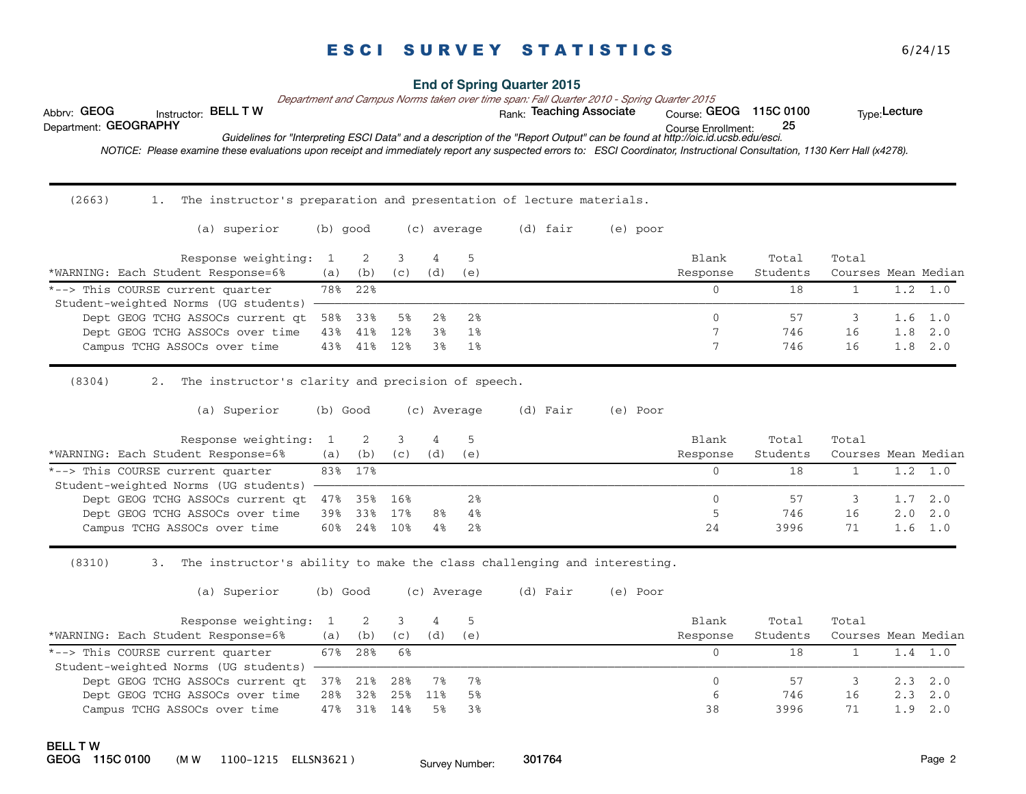#### **End of Spring Quarter 2015**

*Department and Campus Norms taken over time span: Fall Quarter 2010 - Spring Quarter 2015*

Abbrv: GEOG histructor: BELL T W with the state of the Rank: Teaching Associate course: GEOG 115C 0100 the Type:Lecture

Course Enrollment: Department: GEOGRAPHY 25 *Guidelines for "Interpreting ESCI Data" and a description of the "Report Output" can be found at http://oic.id.ucsb.edu/esci.*

 *NOTICE: Please examine these evaluations upon receipt and immediately report any suspected errors to: ESCI Coordinator, Instructional Consultation, 1130 Kerr Hall (x4278).* 

 $(2663)$ 1. The instructor's preparation and presentation of lecture materials.

| (a) superior                                                | (b) good |          |     | (c) average |     | (d) fair | (e) poor |                   |                   |                              |                 |
|-------------------------------------------------------------|----------|----------|-----|-------------|-----|----------|----------|-------------------|-------------------|------------------------------|-----------------|
| Response weighting: 1<br>*WARNING: Each Student Response=6% | (a)      | 2<br>(b) | (C) | (d)         | (e) |          |          | Blank<br>Response | Total<br>Students | Total<br>Courses Mean Median |                 |
| *--> This COURSE current quarter                            |          | 78% 22%  |     |             |     |          |          |                   | 18                |                              | 1.0             |
| Student-weighted Norms (UG students)                        |          |          |     |             |     |          |          |                   |                   |                              |                 |
| Dept GEOG TCHG ASSOCs current at 58%                        |          | 33%      | 58  | 28          | 2%  |          |          | $\mathbf{0}$      | 57                |                              | $1.6 \quad 1.0$ |
| Dept GEOG TCHG ASSOCs over time                             | 43%      | 41%      | 12% | 38          | 1%  |          |          |                   | 746               | 16                           | $1.8 \quad 2.0$ |
| Campus TCHG ASSOCs over time                                | 43%      | 41%      | 12% | 38          | 1%  |          |          |                   | 746               | 16                           | $1.8 \quad 2.0$ |

 $(8304)$ 2. The instructor's clarity and precision of speech.

(a) Superior (b) Good (c) Average (d) Fair (e) Poor

|     |                                        |                                  |                                                             |     | Blank    | Total    | Total |                     |
|-----|----------------------------------------|----------------------------------|-------------------------------------------------------------|-----|----------|----------|-------|---------------------|
| (a) | (b)                                    | (C)                              | (d)                                                         | (e) | Response | Students |       |                     |
|     |                                        |                                  |                                                             |     |          |          |       |                     |
|     |                                        |                                  |                                                             |     |          |          |       |                     |
|     |                                        |                                  |                                                             | 2%  |          |          |       | $1.7 \quad 2.0$     |
|     |                                        |                                  | 8%                                                          | 4%  |          | 746      | 16    | $2.0 \quad 2.0$     |
| 60% | 24%                                    | 10%                              | 4%                                                          | 2%  | 24       | 3996     |       | $1.6 \quad 1.0$     |
|     | Student-weighted Norms (UG students) - | Response weighting: 1<br>83% 17% | Dept GEOG TCHG ASSOCs current qt 47% 35% 16%<br>39% 33% 17% |     |          |          |       | Courses Mean Median |

 $(8310)$ 3. The instructor's ability to make the class challenging and interesting.

(a) Superior (b) Good (c) Average (d) Fair (e) Poor

| Response weighting: 1 2 3                          |         |         |         |     |     | Blank    | Total    | Total               |             |        |
|----------------------------------------------------|---------|---------|---------|-----|-----|----------|----------|---------------------|-------------|--------|
| *WARNING: Each Student Response=6%                 | (a)     | (b)     | (C)     | (d) | (e) | Response | Students | Courses Mean Median |             |        |
| *--> This COURSE current quarter                   |         | 67% 28% | 6%      |     |     |          |          |                     |             |        |
| Student-weighted Norms (UG students) -----------   |         |         |         |     |     |          |          |                     |             |        |
| Dept GEOG TCHG ASSOCs current qt 37% 21% 28% 7% 7% |         |         |         |     |     |          | 57       |                     | $2.3$ $2.0$ |        |
| Dept GEOG TCHG ASSOCs over time                    | 28% 32% |         | 25% 11% |     | 5%  |          | 746      | 16                  | $2.3$ $2.0$ |        |
| Campus TCHG ASSOCs over time                       |         | 47% 31% | 14%     | .5% |     | 38       | 3996     |                     |             | 1.92.0 |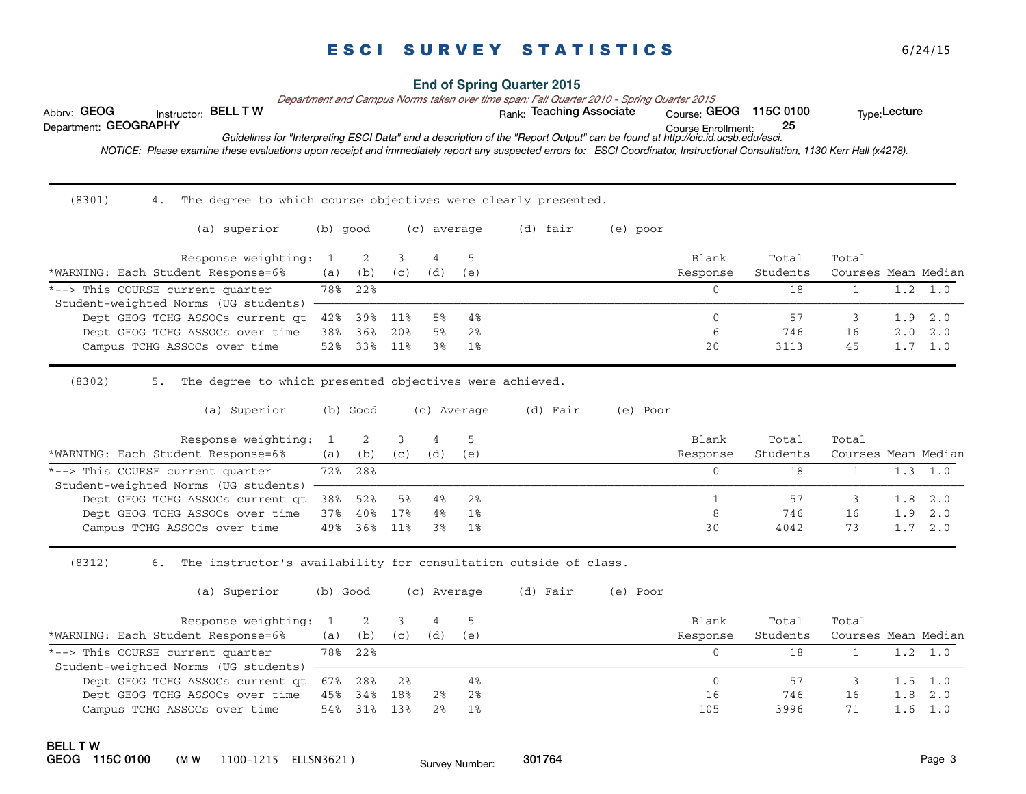#### **End of Spring Quarter 2015**

*Department and Campus Norms taken over time span: Fall Quarter 2010 - Spring Quarter 2015*

Abbrv: GEOG histructor: BELL T W with the state of the Rank: Teaching Associate course: GEOG 115C 0100 the Type:Lecture

Course Enrollment: Department: GEOGRAPHY 25 *Guidelines for "Interpreting ESCI Data" and a description of the "Report Output" can be found at http://oic.id.ucsb.edu/esci.*

 *NOTICE: Please examine these evaluations upon receipt and immediately report any suspected errors to: ESCI Coordinator, Instructional Consultation, 1130 Kerr Hall (x4278).* 

 $(8301)$ 4. The degree to which course objectives were clearly presented.

| (a) superior                                                             | (b) good |         |     | (c) average |     | (d) fair | (e) poor |                   |                   |                              |                 |
|--------------------------------------------------------------------------|----------|---------|-----|-------------|-----|----------|----------|-------------------|-------------------|------------------------------|-----------------|
| Response weighting: 1<br>*WARNING: Each Student Response=6%              | (a)      | (b)     | (C) | 4<br>(d)    | (e) |          |          | Blank<br>Response | Total<br>Students | Total<br>Courses Mean Median |                 |
| *--> This COURSE current quarter<br>Student-weighted Norms (UG students) |          | 78% 22% |     |             |     |          |          |                   | 18                |                              | 1.0             |
|                                                                          |          |         |     |             |     |          |          |                   |                   |                              |                 |
| Dept GEOG TCHG ASSOCs current at                                         | 42%      | 39%     | 11% | 5%          | 4%  |          |          | 0                 | 57                |                              | $1.9$ $2.0$     |
| Dept GEOG TCHG ASSOCs over time                                          | 38%      | 36%     | 20% | 5%          | 2%  |          |          | 6                 | 746               | 16                           | $2.0 \quad 2.0$ |
| Campus TCHG ASSOCs over time                                             | 52%      | 33%     | 11% | 3%          | 1%  |          |          | 20                | 3113              | 45                           | $1.7 \quad 1.0$ |

 $(8302)$ 5. The degree to which presented objectives were achieved.

(a) Superior (b) Good (c) Average (d) Fair (e) Poor

| Response weighting: 1 2                  |             |     |     |          |       | Blank    | Total    | Total               |                 |                 |
|------------------------------------------|-------------|-----|-----|----------|-------|----------|----------|---------------------|-----------------|-----------------|
| *WARNING: Each Student Response=6%       | (a)         | (b) | (C) | (d)      | (e)   | Response | Students | Courses Mean Median |                 |                 |
| *--> This COURSE current quarter         | 72% 28%     |     |     |          |       |          | ' 8      |                     | $1.3 \quad 1.0$ |                 |
| Student-weighted Norms (UG students)     |             |     |     |          |       |          |          |                     |                 |                 |
| Dept GEOG TCHG ASSOCs current qt 38% 52% |             |     |     | 5% 4% 2% |       |          |          |                     |                 | $1.8 \quad 2.0$ |
| Dept GEOG TCHG ASSOCs over time          | 37% 40% 17% |     |     | 4%       | 18    | 8        | 746      | 16                  |                 | 1.9 2.0         |
| Campus TCHG ASSOCs over time             | 49% 36%     |     | 11% | 3%       | $1\%$ | 30       | 4042     | 73                  |                 | $1.7 \quad 2.0$ |

 $(8312)$ 6. The instructor's availability for consultation outside of class.

(a) Superior (b) Good (c) Average (d) Fair (e) Poor

| Response weighting: 1                    |     |         |     |     |     | Blank    | Total    | Total               |                 |
|------------------------------------------|-----|---------|-----|-----|-----|----------|----------|---------------------|-----------------|
| *WARNING: Each Student Response=6%       | (a) | (b)     | (C) | (d) | (e) | Response | Students | Courses Mean Median |                 |
| *--> This COURSE current quarter         |     | 78% 22% |     |     |     |          |          |                     |                 |
| Student-weighted Norms (UG students) -   |     |         |     |     |     |          |          |                     |                 |
| Dept GEOG TCHG ASSOCs current at 67% 28% |     |         | 2%  |     |     |          |          |                     | $1.5 \t1.0$     |
| Dept GEOG TCHG ASSOCs over time          | 45% | 34%     | 18% | 2%  | 2%  | 16       | 746      | 16                  | $1.8 \quad 2.0$ |
| Campus TCHG ASSOCs over time             | 54% | 31%     | 13% |     |     | 105      | 3996     |                     | L.6 1.0         |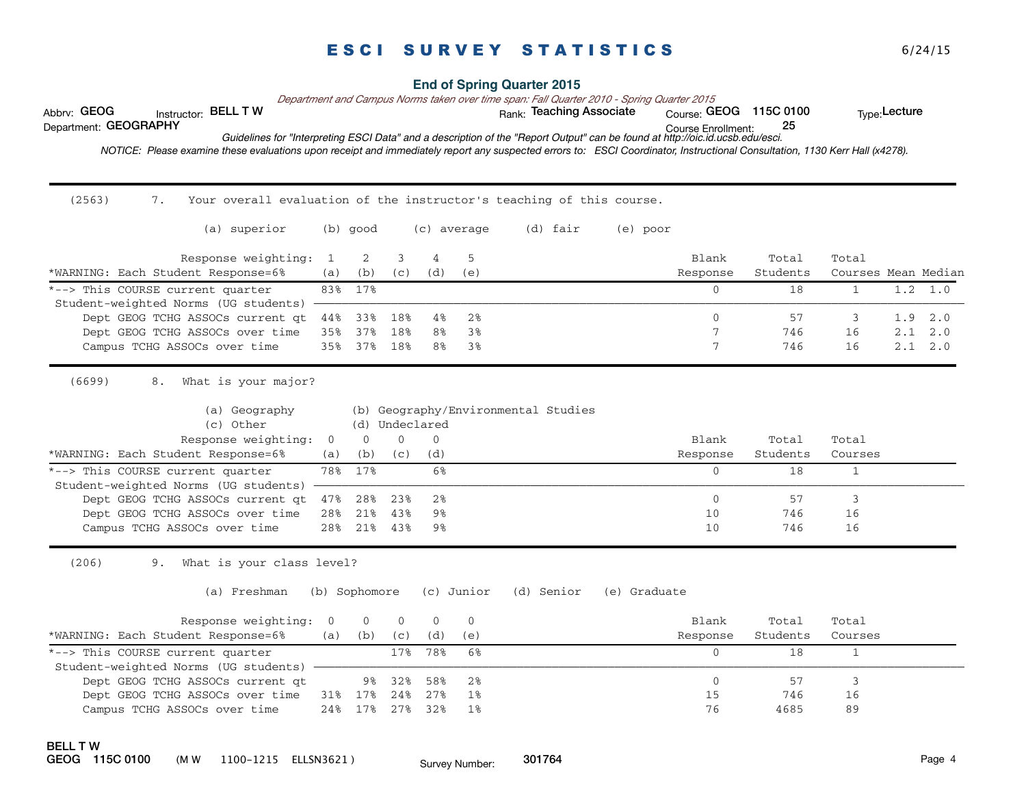| Abbrv: GEOG<br>Department: GEOGRAPHY | Instructor: BELL T W<br>NOTICE: Please examine these evaluations upon receipt and immediately report any suspected errors to: ESCI Coordinator, Instructional Consultation, 1130 Kerr Hall (x4278). |                              |                            |                                      |                             |                | <b>End of Spring Quarter 2015</b><br>Department and Campus Norms taken over time span: Fall Quarter 2010 - Spring Quarter 2015<br>Rank: Teaching Associate<br>Guidelines for "Interpreting ESCI Data" and a description of the "Report Output" can be found at http://oic.id.ucsb.edu/esci. |              | Course: GEOG 115C 0100<br>Course Enrollment: | 25                      |                                  | Type: Lecture |     |
|--------------------------------------|-----------------------------------------------------------------------------------------------------------------------------------------------------------------------------------------------------|------------------------------|----------------------------|--------------------------------------|-----------------------------|----------------|---------------------------------------------------------------------------------------------------------------------------------------------------------------------------------------------------------------------------------------------------------------------------------------------|--------------|----------------------------------------------|-------------------------|----------------------------------|---------------|-----|
|                                      |                                                                                                                                                                                                     |                              |                            |                                      |                             |                |                                                                                                                                                                                                                                                                                             |              |                                              |                         |                                  |               |     |
| (2563)                               | Your overall evaluation of the instructor's teaching of this course.<br>7.                                                                                                                          |                              |                            |                                      |                             |                |                                                                                                                                                                                                                                                                                             |              |                                              |                         |                                  |               |     |
|                                      | (a) superior                                                                                                                                                                                        |                              | $(b)$ good                 |                                      |                             | (c) average    | (d) fair                                                                                                                                                                                                                                                                                    | (e) poor     |                                              |                         |                                  |               |     |
|                                      | Response weighting:<br>*WARNING: Each Student Response=6%                                                                                                                                           | -1<br>(a)                    | 2<br>(b)                   | 3<br>(c)                             | 4<br>(d)                    | 5<br>(e)       |                                                                                                                                                                                                                                                                                             |              | Blank<br>Response                            | Total<br>Students       | Total<br>Courses Mean Median     |               |     |
|                                      | *--> This COURSE current quarter                                                                                                                                                                    | 83%                          | 17%                        |                                      |                             |                |                                                                                                                                                                                                                                                                                             |              | $\Omega$                                     | 18                      | $\mathbf{1}$                     | 1.2           | 1.0 |
|                                      | Student-weighted Norms (UG students)<br>Dept GEOG TCHG ASSOCs current qt                                                                                                                            | 44%                          | 33%                        | 18%                                  | 4%                          | 2%             |                                                                                                                                                                                                                                                                                             |              | $\Omega$                                     | 57                      | 3                                | 1.9           | 2.0 |
|                                      | Dept GEOG TCHG ASSOCs over time                                                                                                                                                                     | 35%                          | 37%                        | 18%                                  | 8%                          | 3%             |                                                                                                                                                                                                                                                                                             |              | 7                                            | 746                     | 16                               | 2.1           | 2.0 |
|                                      | Campus TCHG ASSOCs over time                                                                                                                                                                        | 35%                          | 37%                        | 18%                                  | 8%                          | 3%             |                                                                                                                                                                                                                                                                                             |              | 7                                            | 746                     | 16                               | 2.1           | 2.0 |
|                                      | (c) Other<br>Response weighting:<br>*WARNING: Each Student Response=6%<br>*--> This COURSE current quarter                                                                                          | $\overline{0}$<br>(a)<br>78% | $\mathbf{0}$<br>(b)<br>17% | (d) Undeclared<br>$\mathbf 0$<br>(C) | $\overline{0}$<br>(d)<br>6% |                |                                                                                                                                                                                                                                                                                             |              | Blank<br>Response<br>$\mathbf{0}$            | Total<br>Students<br>18 | Total<br>Courses<br>$\mathbf{1}$ |               |     |
|                                      | Student-weighted Norms (UG students)                                                                                                                                                                |                              |                            |                                      |                             |                |                                                                                                                                                                                                                                                                                             |              |                                              |                         |                                  |               |     |
|                                      | Dept GEOG TCHG ASSOCs current at                                                                                                                                                                    | 47%                          | 28%                        | 23%                                  | 2 <sup>8</sup>              |                |                                                                                                                                                                                                                                                                                             |              | $\Omega$                                     | 57                      | 3                                |               |     |
|                                      | Dept GEOG TCHG ASSOCs over time                                                                                                                                                                     | 28%                          | 21%                        | 43%                                  | 9%                          |                |                                                                                                                                                                                                                                                                                             |              | 10                                           | 746                     | 16                               |               |     |
|                                      | Campus TCHG ASSOCs over time                                                                                                                                                                        | 28%                          | 21%                        | 43%                                  | 9%                          |                |                                                                                                                                                                                                                                                                                             |              | 10                                           | 746                     | 16                               |               |     |
| (206)                                | What is your class level?<br>9.<br>(a) Freshman                                                                                                                                                     |                              | (b) Sophomore              |                                      |                             | (c) Junior     | (d) Senior                                                                                                                                                                                                                                                                                  | (e) Graduate |                                              |                         |                                  |               |     |
|                                      | Response weighting:                                                                                                                                                                                 | $\Omega$                     | $\Omega$                   | $\Omega$                             | $\Omega$                    | $\Omega$       |                                                                                                                                                                                                                                                                                             |              | <b>Blank</b>                                 | Total                   | Total                            |               |     |
|                                      | *WARNING: Each Student Response=6%                                                                                                                                                                  | (a)                          | (b)                        | (C)                                  | (d)                         | (e)            |                                                                                                                                                                                                                                                                                             |              | Response                                     | Students                | Courses                          |               |     |
|                                      | *--> This COURSE current quarter                                                                                                                                                                    |                              |                            | 17%                                  | 78%                         | 6%             |                                                                                                                                                                                                                                                                                             |              | $\Omega$                                     | 18                      | $\mathbf{1}$                     |               |     |
|                                      | Student-weighted Norms (UG students)<br>Dept GEOG TCHG ASSOCs current qt                                                                                                                            |                              | 9%                         | 32%                                  | 58%                         | 2 <sub>8</sub> |                                                                                                                                                                                                                                                                                             |              | $\mathbf{0}$                                 | 57                      | 3                                |               |     |
|                                      | Dept GEOG TCHG ASSOCs over time                                                                                                                                                                     |                              | 31% 17%                    | 24%                                  | 27%                         | $1\%$          |                                                                                                                                                                                                                                                                                             |              | 15                                           | 746                     | 16                               |               |     |
|                                      | Campus TCHG ASSOCs over time                                                                                                                                                                        | 24%                          | 17%                        | 27%                                  | 32%                         | 1%             |                                                                                                                                                                                                                                                                                             |              | 76                                           | 4685                    | 89                               |               |     |
| <b>BELL TW</b>                       |                                                                                                                                                                                                     |                              |                            |                                      |                             |                |                                                                                                                                                                                                                                                                                             |              |                                              |                         |                                  |               |     |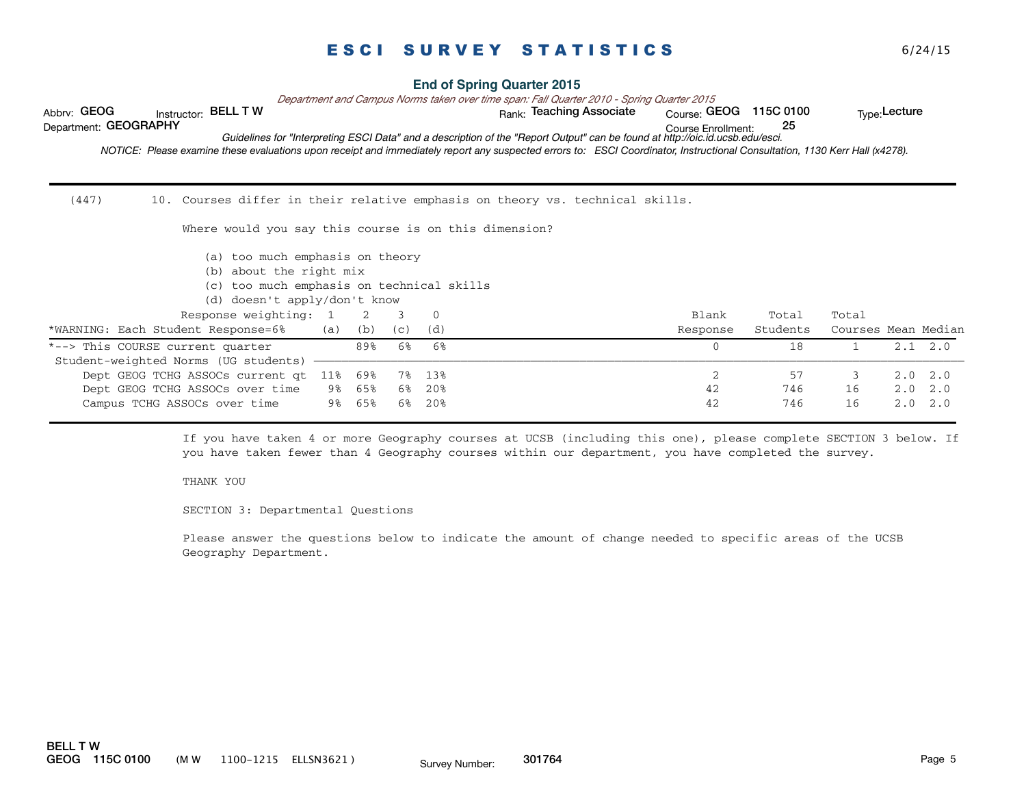| Abbrv: GEOG<br>Instructor: BELL TW<br>Department: GEOGRAPHY<br>NOTICE: Please examine these evaluations upon receipt and immediately report any suspected errors to: ESCI Coordinator, Instructional Consultation, 1130 Kerr Hall (x4278). |                |     |     |              | <b>End of Spring Quarter 2015</b><br>Department and Campus Norms taken over time span: Fall Quarter 2010 - Spring Quarter 2015<br>Rank: Teaching Associate<br>Guidelines for "Interpreting ESCI Data" and a description of the "Report Output" can be found at http://oic.id.ucsb.edu/esci. | Course: GEOG 115C 0100<br>Course Enrollment: | 25       |                     | Type: Lecture |     |
|--------------------------------------------------------------------------------------------------------------------------------------------------------------------------------------------------------------------------------------------|----------------|-----|-----|--------------|---------------------------------------------------------------------------------------------------------------------------------------------------------------------------------------------------------------------------------------------------------------------------------------------|----------------------------------------------|----------|---------------------|---------------|-----|
| (447)                                                                                                                                                                                                                                      |                |     |     |              | 10. Courses differ in their relative emphasis on theory vs. technical skills.                                                                                                                                                                                                               |                                              |          |                     |               |     |
| Where would you say this course is on this dimension?                                                                                                                                                                                      |                |     |     |              |                                                                                                                                                                                                                                                                                             |                                              |          |                     |               |     |
| (a) too much emphasis on theory<br>about the right mix<br>(b)<br>too much emphasis on technical skills<br>(C)                                                                                                                              |                |     |     |              |                                                                                                                                                                                                                                                                                             |                                              |          |                     |               |     |
| doesn't apply/don't know<br>(d)                                                                                                                                                                                                            |                |     |     |              |                                                                                                                                                                                                                                                                                             |                                              |          |                     |               |     |
| Response weighting:                                                                                                                                                                                                                        | $\overline{1}$ | 2   | 3   | $\mathbf{0}$ |                                                                                                                                                                                                                                                                                             | Blank                                        | Total    | Total               |               |     |
| *WARNING: Each Student Response=6%                                                                                                                                                                                                         | (a)            | (b) | (C) | (d)          |                                                                                                                                                                                                                                                                                             | Response                                     | Students | Courses Mean Median |               |     |
| *--> This COURSE current quarter                                                                                                                                                                                                           |                | 89% | 6%  | 6%           |                                                                                                                                                                                                                                                                                             | $\Omega$                                     | 18       | $\mathbf{1}$        | 2.1           | 2.0 |
| Student-weighted Norms (UG students)                                                                                                                                                                                                       |                |     |     |              |                                                                                                                                                                                                                                                                                             |                                              |          |                     |               |     |
| Dept GEOG TCHG ASSOCs current qt                                                                                                                                                                                                           | 11%            | 69% | 7%  | 13%          |                                                                                                                                                                                                                                                                                             | $\overline{2}$                               | 57       | 3                   | 2.0           | 2.0 |
| Dept GEOG TCHG ASSOCs over time                                                                                                                                                                                                            | 9%             | 65% | 6%  | 20%          |                                                                                                                                                                                                                                                                                             | 42                                           | 746      | 16                  | 2.0           | 2.0 |
| Campus TCHG ASSOCs over time                                                                                                                                                                                                               | 9%             | 65% | 6%  | 20%          |                                                                                                                                                                                                                                                                                             | 42                                           | 746      | 16                  | 2.0           | 2.0 |

If you have taken 4 or more Geography courses at UCSB (including this one), please complete SECTION 3 below. If you have taken fewer than 4 Geography courses within our department, you have completed the survey.

#### THANK YOU

SECTION 3: Departmental Questions

Please answer the questions below to indicate the amount of change needed to specific areas of the UCSB Geography Department.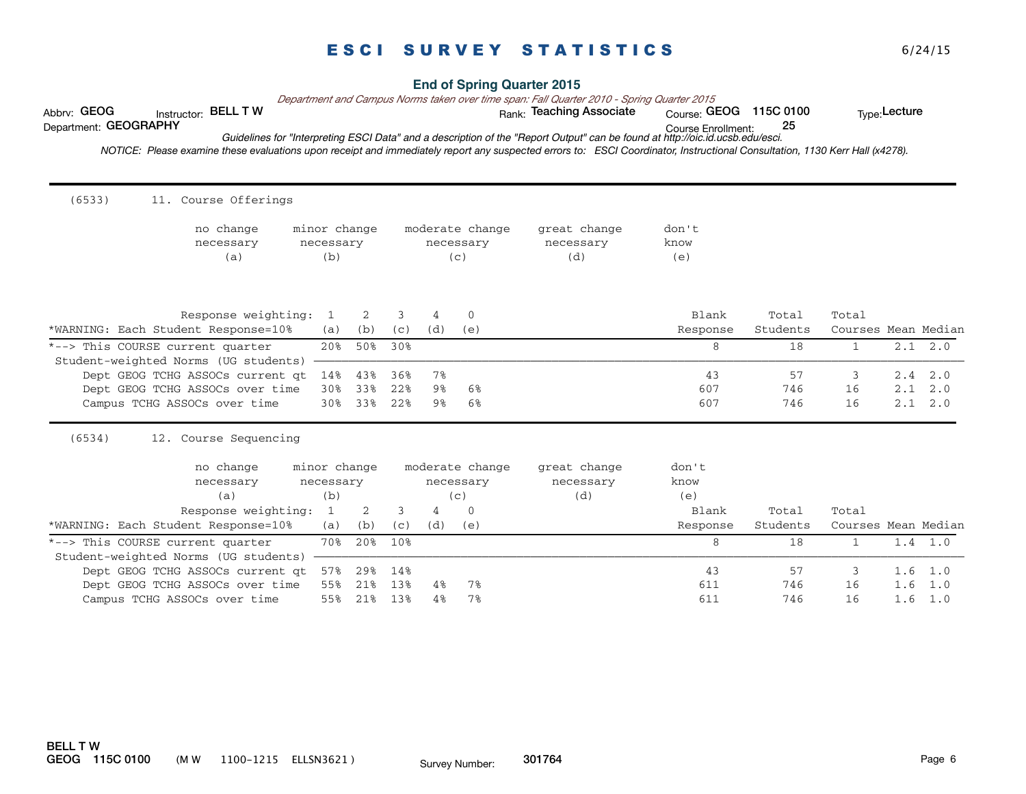| Instructor: BELL T W<br>Abbrv: GEOG<br>Department: GEOGRAPHY                                                                                                                |                  |            |            |          |                    | Department and Campus Norms taken over time span: Fall Quarter 2010 - Spring Quarter 2015<br>Rank: Teaching Associate         | Course: GEOG 115C 0100    | 25                |                              | Type: Lecture |                        |
|-----------------------------------------------------------------------------------------------------------------------------------------------------------------------------|------------------|------------|------------|----------|--------------------|-------------------------------------------------------------------------------------------------------------------------------|---------------------------|-------------------|------------------------------|---------------|------------------------|
| NOTICE: Please examine these evaluations upon receipt and immediately report any suspected errors to: ESCI Coordinator, Instructional Consultation, 1130 Kerr Hall (x4278). |                  |            |            |          |                    | Guidelines for "Interpreting ESCI Data" and a description of the "Report Output" can be found at http://oic.id.ucsb.edu/esci. | <b>Course Enrollment:</b> |                   |                              |               |                        |
|                                                                                                                                                                             |                  |            |            |          |                    |                                                                                                                               |                           |                   |                              |               |                        |
| (6533)<br>11. Course Offerings                                                                                                                                              |                  |            |            |          |                    |                                                                                                                               |                           |                   |                              |               |                        |
| no change                                                                                                                                                                   | minor change     |            |            |          | moderate change    | great change                                                                                                                  | don't                     |                   |                              |               |                        |
| necessary<br>(a)                                                                                                                                                            | necessary<br>(b) |            |            |          | necessary<br>(c)   | necessary<br>(d)                                                                                                              | know<br>(e)               |                   |                              |               |                        |
|                                                                                                                                                                             |                  |            |            |          |                    |                                                                                                                               |                           |                   |                              |               |                        |
|                                                                                                                                                                             |                  |            |            |          |                    |                                                                                                                               |                           |                   |                              |               |                        |
| Response weighting:<br>*WARNING: Each Student Response=10%                                                                                                                  | 1<br>(a)         | 2<br>(b)   | 3<br>(C)   | 4<br>(d) | $\mathbf 0$<br>(e) |                                                                                                                               | Blank<br>Response         | Total<br>Students | Total<br>Courses Mean Median |               |                        |
| *--> This COURSE current quarter                                                                                                                                            | 20%              | 50%        | 30%        |          |                    |                                                                                                                               | 8                         | 18                | $\mathbf{1}$                 |               | $2.1 \quad 2.0$        |
| Student-weighted Norms (UG students)                                                                                                                                        |                  |            |            |          |                    |                                                                                                                               |                           |                   |                              |               |                        |
| Dept GEOG TCHG ASSOCs current at<br>Dept GEOG TCHG ASSOCs over time                                                                                                         | 14%<br>30%       | 43%<br>33% | 36%<br>22% | 7%<br>9% | 6%                 |                                                                                                                               | 43<br>607                 | 57<br>746         | 3<br>16                      | 2.4           | 2.0<br>$2.1 \quad 2.0$ |
| Campus TCHG ASSOCs over time                                                                                                                                                | 30%              | 33%        | 22%        | 9%       | 6%                 |                                                                                                                               | 607                       | 746               | 16                           |               | 2.1 2.0                |
| (6534)<br>12. Course Sequencing                                                                                                                                             |                  |            |            |          |                    |                                                                                                                               |                           |                   |                              |               |                        |
| no change                                                                                                                                                                   | minor change     |            |            |          | moderate change    | great change                                                                                                                  | don't                     |                   |                              |               |                        |
| necessary                                                                                                                                                                   | necessary        |            |            |          | necessary          | necessary                                                                                                                     | know                      |                   |                              |               |                        |
| (a)                                                                                                                                                                         | (b)              |            |            |          | (c)                | (d)                                                                                                                           | (e)                       |                   |                              |               |                        |
| Response weighting:                                                                                                                                                         | 1                | 2          | 3          | 4        | $\Omega$           |                                                                                                                               | Blank                     | Total             | Total                        |               |                        |
| *WARNING: Each Student Response=10%                                                                                                                                         | (a)              | (b)        | (C)        | (d)      | (e)                |                                                                                                                               | Response                  | Students          | Courses Mean Median          |               |                        |
| *--> This COURSE current quarter<br>Student-weighted Norms (UG students)                                                                                                    | 70%              | 20%        | 10%        |          |                    |                                                                                                                               | 8                         | 18                | $\mathbf{1}$                 |               | $1.4 \quad 1.0$        |
| Dept GEOG TCHG ASSOCs current qt                                                                                                                                            | 57%              | 29%        | 14%        |          |                    |                                                                                                                               | 43                        | 57                | 3                            | 1.6           | 1.0                    |
|                                                                                                                                                                             | 55%              | 21%        | 13%        | 4%       | 7%                 |                                                                                                                               | 611                       | 746               | 16                           | 1.6           | 1.0                    |
| Dept GEOG TCHG ASSOCs over time                                                                                                                                             |                  |            |            |          |                    |                                                                                                                               |                           |                   |                              |               |                        |

### **End of Spring Quarter 2015**

BELL T W GEOG 115C 0100 (M W 1100-1215 ELLSN3621) Survey Number: 301764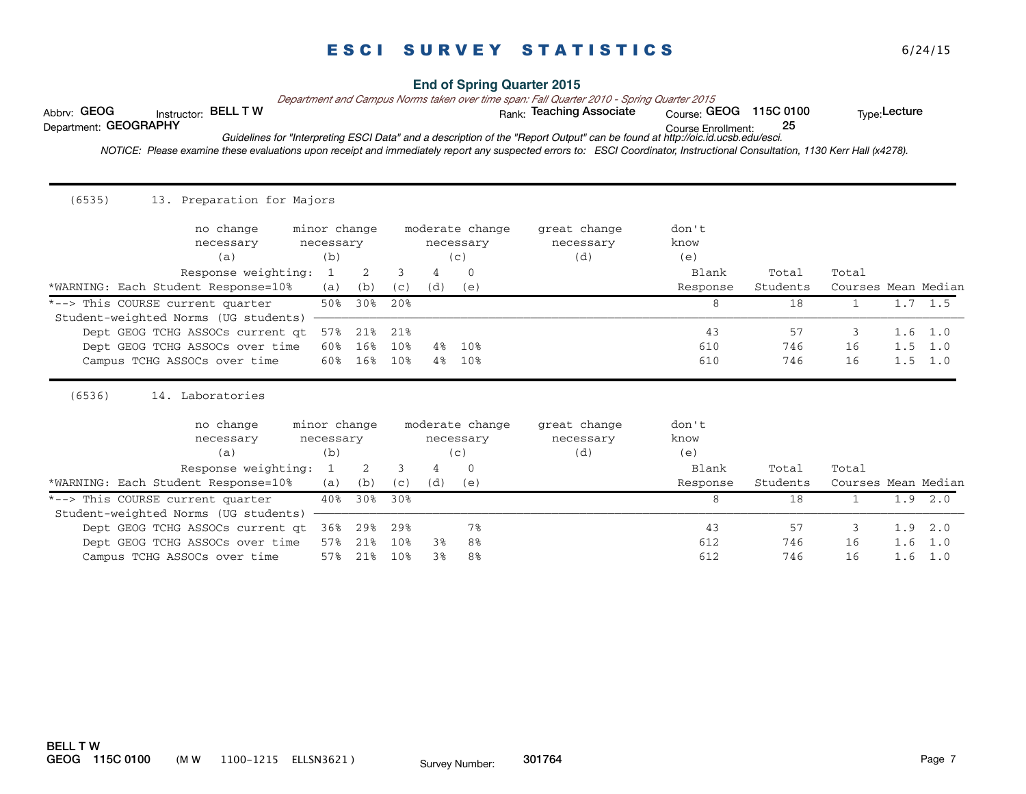### **End of Spring Quarter 2015**

*Department and Campus Norms taken over time span: Fall Quarter 2010 - Spring Quarter 2015*

Abbrv: GEOG histructor: BELL T W with the state of the Rank: Teaching Associate course: GEOG 115C 0100 the Type:Lecture

Course Enrollment: Department: GEOGRAPHY 25 *Guidelines for "Interpreting ESCI Data" and a description of the "Report Output" can be found at http://oic.id.ucsb.edu/esci.*

 *NOTICE: Please examine these evaluations upon receipt and immediately report any suspected errors to: ESCI Coordinator, Instructional Consultation, 1130 Kerr Hall (x4278).* 

| (6535)<br>13. Preparation for Majors    |                                  |     |                                     |       |                 |                                  |                      |          |                     |     |                 |
|-----------------------------------------|----------------------------------|-----|-------------------------------------|-------|-----------------|----------------------------------|----------------------|----------|---------------------|-----|-----------------|
| no change<br>necessary<br>(a)           | minor change<br>necessary<br>(b) |     | moderate change<br>necessary<br>(c) |       |                 | great change<br>necessary<br>(d) | don't<br>know<br>(e) |          |                     |     |                 |
| Response weighting:                     | 1                                | 2   | 3                                   | 4     | $\Omega$        |                                  | Blank                | Total    | Total               |     |                 |
| *WARNING: Each Student Response=10%     | (a)                              | (b) | (C)                                 | (d)   | (e)             |                                  | Response             | Students | Courses Mean Median |     |                 |
| *--> This COURSE current quarter        | 50%                              | 30% | 20%                                 |       |                 |                                  | 8                    | 18       | $\mathbf{1}$        |     | $1.7 \quad 1.5$ |
| Student-weighted Norms (UG students)    |                                  |     |                                     |       |                 |                                  |                      |          |                     |     |                 |
| Dept GEOG TCHG ASSOCs current at        | 57%                              | 21% | 21%                                 |       |                 |                                  | 43                   | 57       | 3                   | 1.6 | 1.0             |
| Dept GEOG TCHG ASSOCs over time         | 60%                              | 16% | 10%                                 | $4\%$ | 10%             |                                  | 610                  | 746      | 16                  |     | $1.5 \quad 1.0$ |
| Campus TCHG ASSOCs over time            | 60%                              | 16% | 10%                                 | $4\%$ | 10%             |                                  | 610                  | 746      | 16                  |     | $1.5 \quad 1.0$ |
| (6536)<br>14. Laboratories<br>no change | minor change                     |     |                                     |       | moderate change | great change                     | don't                |          |                     |     |                 |
| necessary                               | necessary                        |     |                                     |       | necessary       | necessary                        | know                 |          |                     |     |                 |
| (a)                                     | (b)                              |     |                                     |       | (c)             | (d)                              | (e)                  |          |                     |     |                 |
| Response weighting:                     | 1                                | 2   | 3                                   | 4     | $\Omega$        |                                  | Blank                | Total    | Total               |     |                 |
| *WARNING: Each Student Response=10%     | (a)                              | (b) | (c)                                 | (d)   | (e)             |                                  | Response             | Students | Courses Mean Median |     |                 |
| *--> This COURSE current quarter        | 40%                              | 30% | 30%                                 |       |                 |                                  | 8                    | 18       | 1                   |     | 1.9 2.0         |
| Student-weighted Norms (UG students)    |                                  |     |                                     |       |                 |                                  |                      |          |                     |     |                 |
| Dept GEOG TCHG ASSOCs current at        | 36%                              | 29% | 29%                                 |       | 7%              |                                  | 43                   | 57       | 3                   | 1.9 | 2.0             |
| Dept GEOG TCHG ASSOCs over time         | 57%                              | 21% | 10%                                 | 3%    | 8%              |                                  | 612                  | 746      | 16                  | 1.6 | 1.0             |
| Campus TCHG ASSOCs over time            | 57%                              | 21% | 10%                                 | 3%    | 8%              |                                  | 612                  | 746      | 16                  | 1.6 | 1.0             |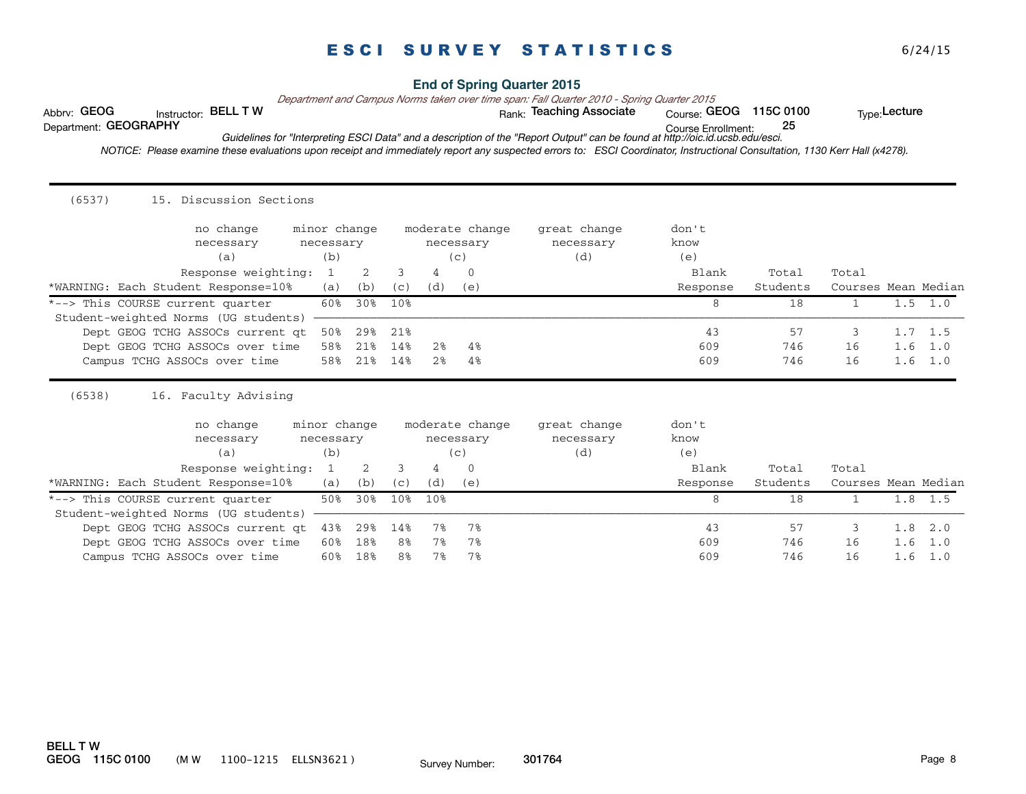### **End of Spring Quarter 2015**

*Department and Campus Norms taken over time span: Fall Quarter 2010 - Spring Quarter 2015*

Abbrv: GEOG histructor: BELL T W with the state of the Rank: Teaching Associate course: GEOG 115C 0100 the Type:Lecture

Course Enrollment: Department: GEOGRAPHY 25

*Guidelines for "Interpreting ESCI Data" and a description of the "Report Output" can be found at http://oic.id.ucsb.edu/esci.*

 *NOTICE: Please examine these evaluations upon receipt and immediately report any suspected errors to: ESCI Coordinator, Instructional Consultation, 1130 Kerr Hall (x4278).* 

| (6537)<br>15. Discussion Sections              |              |     |                |                |                 |              |          |          |                     |     |                 |
|------------------------------------------------|--------------|-----|----------------|----------------|-----------------|--------------|----------|----------|---------------------|-----|-----------------|
| no change                                      | minor change |     |                |                | moderate change | great change | don't    |          |                     |     |                 |
| necessary                                      | necessary    |     |                |                | necessary       | necessary    | know     |          |                     |     |                 |
| (a)                                            | (b)          |     |                |                | (c)             | (d)          | (e)      |          |                     |     |                 |
| Response weighting:                            | 1            | 2   | 3              | 4              | $\Omega$        |              | Blank    | Total    | Total               |     |                 |
| *WARNING: Each Student Response=10%            | (a)          | (b) | (c)            | (d)            | (e)             |              | Response | Students | Courses Mean Median |     |                 |
| *--> This COURSE current quarter               | 60%          | 30% | 10%            |                |                 |              | 8        | 18       | $\mathbf{1}$        |     | $1.5 \t1.0$     |
| Student-weighted Norms (UG students)           |              |     |                |                |                 |              |          |          |                     |     |                 |
| Dept GEOG TCHG ASSOCs current at               | 50%          | 29% | 21%            |                |                 |              | 43       | 57       | 3                   |     | $1.7 \quad 1.5$ |
| Dept GEOG TCHG ASSOCs over time                | 58%          | 21% | 14%            | 2%             | $4\%$           |              | 609      | 746      | 16                  | 1.6 | 1.0             |
| Campus TCHG ASSOCs over time                   | 58%          | 21% | 14%            | 2 <sup>8</sup> | $4\%$           |              | 609      | 746      | 16                  |     | $1.6$ 1.0       |
| (6538)<br>Faculty Advising<br>16.<br>no change | minor change |     |                |                | moderate change | great change | don't    |          |                     |     |                 |
| necessary                                      | necessary    |     |                |                | necessary       | necessary    | know     |          |                     |     |                 |
| (a)                                            | (b)          |     |                |                | (c)             | (d)          | (e)      |          |                     |     |                 |
| Response weighting:                            | 1            | 2   | 3              | 4              | $\Omega$        |              | Blank    | Total    | Total               |     |                 |
| *WARNING: Each Student Response=10%            | (a)          | (b) | (c)            | (d)            | (e)             |              | Response | Students | Courses Mean Median |     |                 |
| *--> This COURSE current quarter               | 50%          | 30% | 10%            | 10%            |                 |              | 8        | 18       | $\mathbf{1}$        |     | $1.8$ 1.5       |
| Student-weighted Norms (UG students)           |              |     |                |                |                 |              |          |          |                     |     |                 |
| Dept GEOG TCHG ASSOCs current at               | 43%          | 29% | 14%            | 7%             | 7%              |              | 43       | 57       | 3                   |     | $1.8$ $2.0$     |
| Dept GEOG TCHG ASSOCs over time                | 60%          | 18% | 8 <sup>8</sup> | $7\%$          | 7%              |              | 609      | 746      | 16                  | 1.6 | 1.0             |
| Campus TCHG ASSOCs over time                   | 60%          | 18% | 8%             | 7%             | 7%              |              | 609      | 746      | 16                  | 1.6 | 1.0             |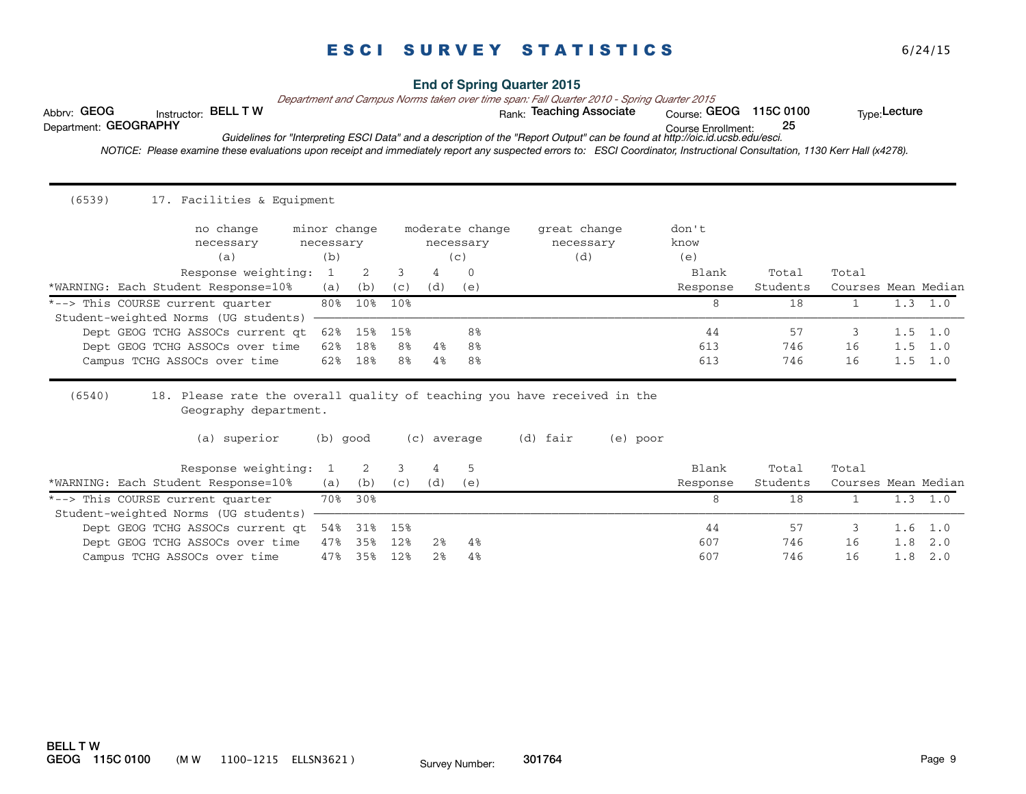### **End of Spring Quarter 2015**

*Department and Campus Norms taken over time span: Fall Quarter 2010 - Spring Quarter 2015*

Abbrv: GEOG histructor: BELL T W with the state of the Rank: Teaching Associate course: GEOG 115C 0100 the Type:Lecture

Course Enrollment: Department: GEOGRAPHY 25

*Guidelines for "Interpreting ESCI Data" and a description of the "Report Output" can be found at http://oic.id.ucsb.edu/esci.*

 *NOTICE: Please examine these evaluations upon receipt and immediately report any suspected errors to: ESCI Coordinator, Instructional Consultation, 1130 Kerr Hall (x4278).* 

| (6539)<br>17. Facilities & Equipment                                                                        |                           |            |           |                              |          |                           |          |               |           |                     |     |                                    |
|-------------------------------------------------------------------------------------------------------------|---------------------------|------------|-----------|------------------------------|----------|---------------------------|----------|---------------|-----------|---------------------|-----|------------------------------------|
| no change<br>necessary                                                                                      | minor change<br>necessary |            |           | moderate change<br>necessary |          | great change<br>necessary |          | don't<br>know |           |                     |     |                                    |
| (a)                                                                                                         | (b)                       |            |           |                              | (c)      | (d)                       |          | (e)           |           |                     |     |                                    |
| Response weighting:                                                                                         | 1                         | 2          | 3         | 4                            | 0        |                           |          | Blank         | Total     | Total               |     |                                    |
| *WARNING: Each Student Response=10%                                                                         | (a)                       | (b)        | (c)       | (d)                          | (e)      |                           |          | Response      | Students  | Courses Mean Median |     |                                    |
| *--> This COURSE current quarter                                                                            | 80%                       | 10%        | 10%       |                              |          |                           |          | 8             | 18        | $\mathbf{1}$        |     | $1.3 \quad 1.0$                    |
| Student-weighted Norms (UG students)                                                                        |                           |            |           |                              |          |                           |          |               |           |                     |     |                                    |
| Dept GEOG TCHG ASSOCs current at<br>Dept GEOG TCHG ASSOCs over time                                         | 62%<br>62%                | 15%<br>18% | 15%<br>8% | 4%                           | 8%<br>8% |                           |          | 44<br>613     | 57<br>746 | 3<br>16             |     | $1.5 \quad 1.0$<br>$1.5 \quad 1.0$ |
| Campus TCHG ASSOCs over time                                                                                | 62%                       | 18%        | 8%        | 4%                           | 8%       |                           |          | 613           | 746       | 16                  |     | $1.5 \quad 1.0$                    |
| (6540)<br>18. Please rate the overall quality of teaching you have received in the<br>Geography department. |                           |            |           |                              |          |                           |          |               |           |                     |     |                                    |
| (a) superior                                                                                                | (b) good                  |            |           | (c) average                  |          | (d) fair                  | (e) poor |               |           |                     |     |                                    |
| Response weighting:                                                                                         |                           | 2          | 3         | 4                            | 5        |                           |          | Blank         | Total     | Total               |     |                                    |
| *WARNING: Each Student Response=10%                                                                         | (a)                       | (b)        | (c)       | (d)                          | (e)      |                           |          | Response      | Students  | Courses Mean Median |     |                                    |
| *--> This COURSE current quarter                                                                            | 70%                       | 30%        |           |                              |          |                           |          | 8             | 18        | $\mathbf{1}$        |     | $1.3 \quad 1.0$                    |
| Student-weighted Norms (UG students)                                                                        |                           |            |           |                              |          |                           |          |               |           |                     |     |                                    |
| Dept GEOG TCHG ASSOCs current at                                                                            | 54%                       | 31%        | 15%       |                              |          |                           |          | 44            | 57        | 3                   | 1.6 | 1.0                                |
| Dept GEOG TCHG ASSOCs over time                                                                             | 47%                       | 35%        | 12%       | 2%                           | $4\%$    |                           |          | 607           | 746       | 16                  | 1.8 | 2.0                                |
| Campus TCHG ASSOCs over time                                                                                | 47%                       | 35%        | 12%       | 2 <sup>8</sup>               | 4%       |                           |          | 607           | 746       | 16                  | 1.8 | 2.0                                |